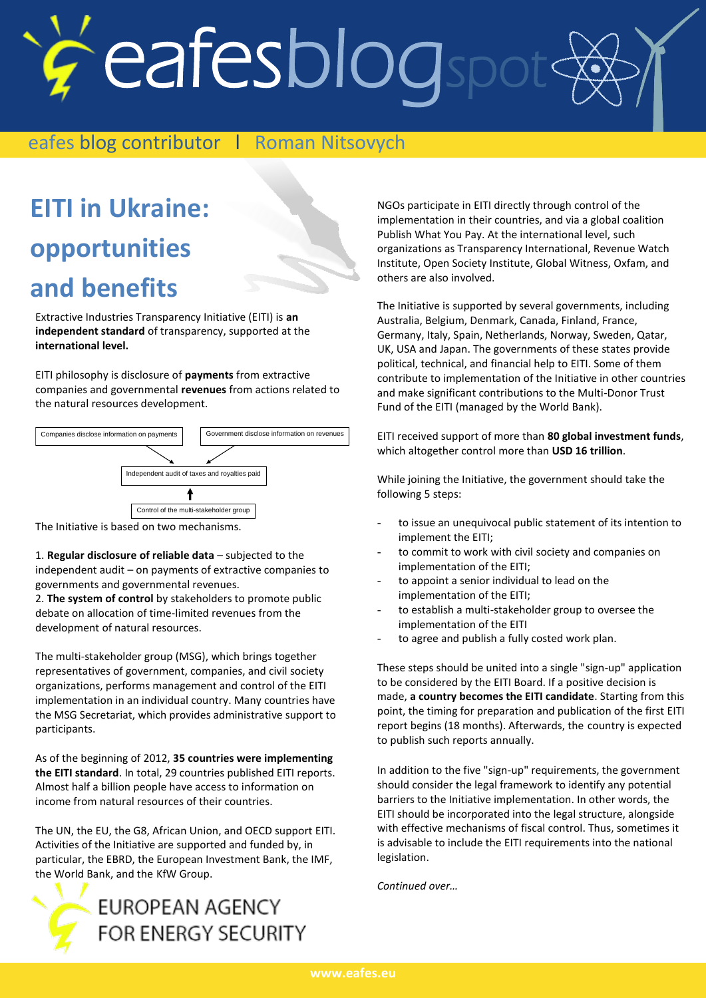# eafesblogspot

# eafes blog contributor 1 Roman Nitsovych<br> **EITI in Ukraine:**

## **EITI in Ukraine: opportunities and benefits**

Extractive Industries Transparency Initiative (EITI) is **an independent standard** of transparency, supported at the **international level.**

EITI philosophy is disclosure of **payments** from extractive companies and governmental **revenues** from actions related to the natural resources development.



The Initiative is based on two mechanisms.

1. **Regular disclosure of reliable data** – subjected to the independent audit – on payments of extractive companies to governments and governmental revenues.

2. **The system of control** by stakeholders to promote public debate on allocation of time-limited revenues from the development of natural resources.

The multi-stakeholder group (MSG), which brings together representatives of government, companies, and civil society organizations, performs management and control of the EITI implementation in an individual country. Many countries have the MSG Secretariat, which provides administrative support to participants.

As of the beginning of 2012, **35 countries were implementing the EITI standard**. In total, 29 countries published EITI reports. Almost half a billion people have access to information on income from natural resources of their countries.

The UN, the EU, the G8, African Union, and OECD support EITI. Activities of the Initiative are supported and funded by, in particular, the EBRD, the European Investment Bank, the IMF, the World Bank, and the KfW Group.



NGOs participate in EITI directly through control of the implementation in their countries, and via a global coalition Publish What You Pay. At the international level, such organizations as Transparency International, Revenue Watch Institute, Open Society Institute, Global Witness, Oxfam, and others are also involved.

The Initiative is supported by several governments, including Australia, Belgium, Denmark, Canada, Finland, France, Germany, Italy, Spain, Netherlands, Norway, Sweden, Qatar, UK, USA and Japan. The governments of these states provide political, technical, and financial help to EITI. Some of them contribute to implementation of the Initiative in other countries and make significant contributions to the Multi-Donor Trust Fund of the EITI (managed by the World Bank).

EITI received support of more than **80 global investment funds**, which altogether control more than **USD 16 trillion**.

While joining the Initiative, the government should take the following 5 steps:

- to issue an unequivocal public statement of its intention to implement the EITI;
- to commit to work with civil society and companies on implementation of the EITI;
- to appoint a senior individual to lead on the implementation of the EITI;
- to establish a multi-stakeholder group to oversee the implementation of the EITI
- to agree and publish a fully costed work plan.

These steps should be united into a single "sign-up" application to be considered by the EITI Board. If a positive decision is made, **a country becomes the EITI candidate**. Starting from this point, the timing for preparation and publication of the first EITI report begins (18 months). Afterwards, the country is expected to publish such reports annually.

In addition to the five "sign-up" requirements, the government should consider the legal framework to identify any potential barriers to the Initiative implementation. In other words, the EITI should be incorporated into the legal structure, alongside with effective mechanisms of fiscal control. Thus, sometimes it is advisable to include the EITI requirements into the national legislation.

*Continued over…*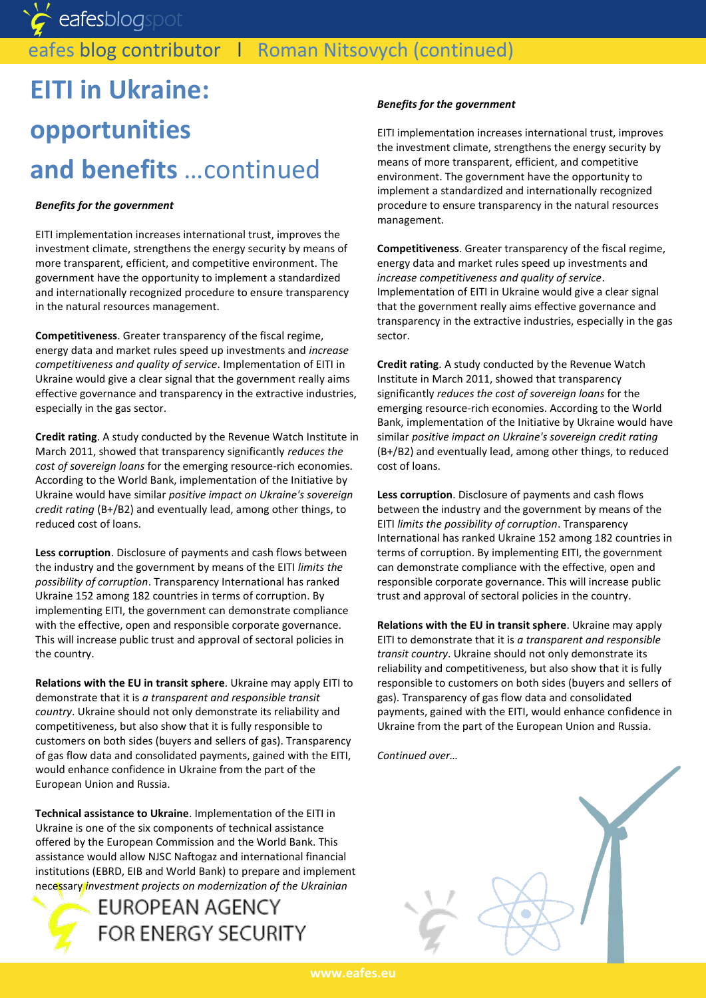eafesblogspot

### eafes blog contributor | Roman Nitsovych (continued)

# **EITI in Ukraine: opportunities and benefits** …continued

#### *Benefits for the government*

EITI implementation increases international trust, improves the investment climate, strengthens the energy security by means of more transparent, efficient, and competitive environment. The government have the opportunity to implement a standardized and internationally recognized procedure to ensure transparency in the natural resources management.

**Competitiveness**. Greater transparency of the fiscal regime, energy data and market rules speed up investments and *increase competitiveness and quality of service*. Implementation of EITI in Ukraine would give a clear signal that the government really aims effective governance and transparency in the extractive industries, especially in the gas sector.

**Credit rating**. A study conducted by the Revenue Watch Institute in March 2011, showed that transparency significantly *reduces the cost of sovereign loans* for the emerging resource-rich economies. According to the World Bank, implementation of the Initiative by Ukraine would have similar *positive impact on Ukraine's sovereign credit rating* (B+/B2) and eventually lead, among other things, to reduced cost of loans.

**Less corruption**. Disclosure of payments and cash flows between the industry and the government by means of the EITI *limits the possibility of corruption*. Transparency International has ranked Ukraine 152 among 182 countries in terms of corruption. By implementing EITI, the government can demonstrate compliance with the effective, open and responsible corporate governance. This will increase public trust and approval of sectoral policies in the country.

**Relations with the EU in transit sphere**. Ukraine may apply EITI to demonstrate that it is *a transparent and responsible transit country*. Ukraine should not only demonstrate its reliability and competitiveness, but also show that it is fully responsible to customers on both sides (buyers and sellers of gas). Transparency of gas flow data and consolidated payments, gained with the EITI, would enhance confidence in Ukraine from the part of the European Union and Russia.

**Technical assistance to Ukraine**. Implementation of the EITI in Ukraine is one of the six components of technical assistance offered by the European Commission and the World Bank. This assistance would allow NJSC Naftogaz and international financial institutions (EBRD, EIB and World Bank) to prepare and implement necessary *investment projects on modernization of the Ukrainian* 



#### *Benefits for the government*

EITI implementation increases international trust, improves the investment climate, strengthens the energy security by means of more transparent, efficient, and competitive environment. The government have the opportunity to implement a standardized and internationally recognized procedure to ensure transparency in the natural resources management.

**Competitiveness**. Greater transparency of the fiscal regime, energy data and market rules speed up investments and *increase competitiveness and quality of service*. Implementation of EITI in Ukraine would give a clear signal that the government really aims effective governance and transparency in the extractive industries, especially in the gas sector.

**Credit rating**. A study conducted by the Revenue Watch Institute in March 2011, showed that transparency significantly *reduces the cost of sovereign loans* for the emerging resource-rich economies. According to the World Bank, implementation of the Initiative by Ukraine would have similar *positive impact on Ukraine's sovereign credit rating*  (B+/B2) and eventually lead, among other things, to reduced cost of loans.

**Less corruption**. Disclosure of payments and cash flows between the industry and the government by means of the EITI *limits the possibility of corruption*. Transparency International has ranked Ukraine 152 among 182 countries in terms of corruption. By implementing EITI, the government can demonstrate compliance with the effective, open and responsible corporate governance. This will increase public trust and approval of sectoral policies in the country.

**Relations with the EU in transit sphere**. Ukraine may apply EITI to demonstrate that it is *a transparent and responsible transit country*. Ukraine should not only demonstrate its reliability and competitiveness, but also show that it is fully responsible to customers on both sides (buyers and sellers of gas). Transparency of gas flow data and consolidated payments, gained with the EITI, would enhance confidence in Ukraine from the part of the European Union and Russia.

*Continued over…*